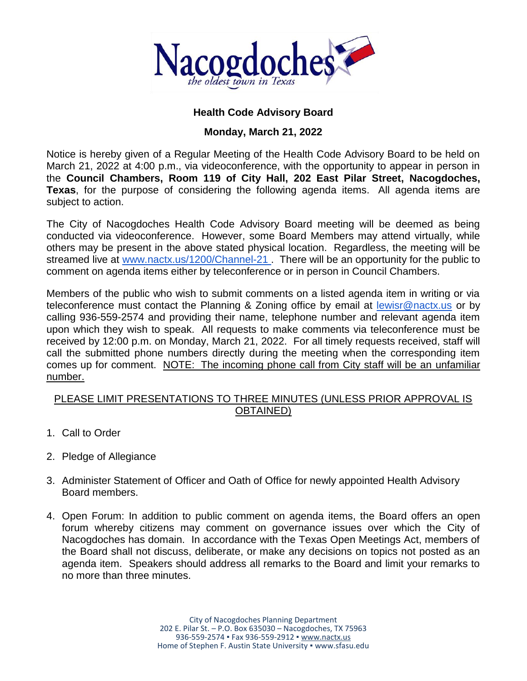

# **Health Code Advisory Board**

## **Monday, March 21, 2022**

Notice is hereby given of a Regular Meeting of the Health Code Advisory Board to be held on March 21, 2022 at 4:00 p.m., via videoconference, with the opportunity to appear in person in the **Council Chambers, Room 119 of City Hall, 202 East Pilar Street, Nacogdoches, Texas**, for the purpose of considering the following agenda items. All agenda items are subject to action.

The City of Nacogdoches Health Code Advisory Board meeting will be deemed as being conducted via videoconference. However, some Board Members may attend virtually, while others may be present in the above stated physical location. Regardless, the meeting will be streamed live at [www.nactx.us/1200/Channel-21](http://www.nactx.us/1200/Channel-21). There will be an opportunity for the public to comment on agenda items either by teleconference or in person in Council Chambers.

Members of the public who wish to submit comments on a listed agenda item in writing or via teleconference must contact the Planning & Zoning office by email at [lewisr@nactx.us](mailto:lewisr@nactx.us) or by calling 936-559-2574 and providing their name, telephone number and relevant agenda item upon which they wish to speak. All requests to make comments via teleconference must be received by 12:00 p.m. on Monday, March 21, 2022. For all timely requests received, staff will call the submitted phone numbers directly during the meeting when the corresponding item comes up for comment. NOTE: The incoming phone call from City staff will be an unfamiliar number.

#### PLEASE LIMIT PRESENTATIONS TO THREE MINUTES (UNLESS PRIOR APPROVAL IS OBTAINED)

- 1. Call to Order
- 2. Pledge of Allegiance
- 3. Administer Statement of Officer and Oath of Office for newly appointed Health Advisory Board members.
- 4. Open Forum: In addition to public comment on agenda items, the Board offers an open forum whereby citizens may comment on governance issues over which the City of Nacogdoches has domain. In accordance with the Texas Open Meetings Act, members of the Board shall not discuss, deliberate, or make any decisions on topics not posted as an agenda item. Speakers should address all remarks to the Board and limit your remarks to no more than three minutes.